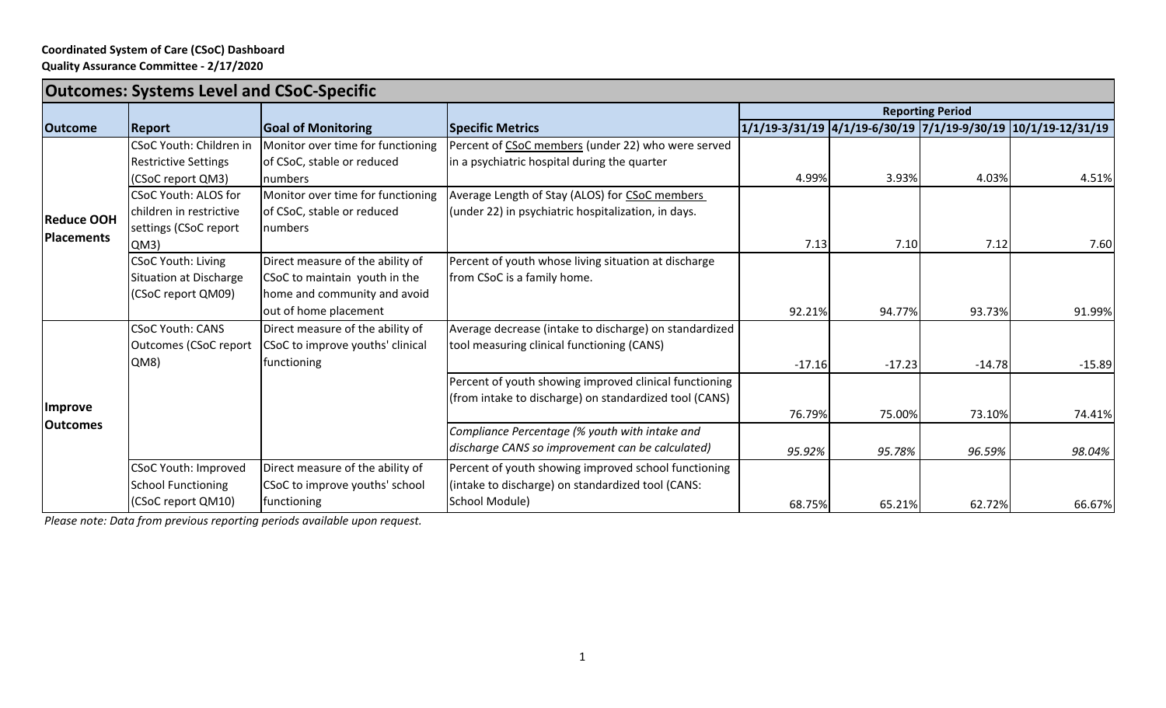## **Coordinated System of Care (CSoC) Dashboard**

**Quality Assurance Committee ‐ 2/17/2020**

| <b>Outcomes: Systems Level and CSoC-Specific</b> |                             |                                   |                                                        |                         |          |          |                                                               |
|--------------------------------------------------|-----------------------------|-----------------------------------|--------------------------------------------------------|-------------------------|----------|----------|---------------------------------------------------------------|
|                                                  |                             |                                   |                                                        | <b>Reporting Period</b> |          |          |                                                               |
| <b>Outcome</b>                                   | Report                      | <b>Goal of Monitoring</b>         | <b>Specific Metrics</b>                                |                         |          |          | 1/1/19-3/31/19 4/1/19-6/30/19 7/1/19-9/30/19 10/1/19-12/31/19 |
| <b>Reduce OOH</b><br>Placements                  | CSoC Youth: Children in     | Monitor over time for functioning | Percent of CSoC members (under 22) who were served     |                         |          |          |                                                               |
|                                                  | <b>Restrictive Settings</b> | of CSoC, stable or reduced        | in a psychiatric hospital during the quarter           |                         |          |          |                                                               |
|                                                  | (CSoC report QM3)           | Inumbers                          |                                                        | 4.99%                   | 3.93%    | 4.03%    | 4.51%                                                         |
|                                                  | <b>CSoC Youth: ALOS for</b> | Monitor over time for functioning | Average Length of Stay (ALOS) for CSoC members         |                         |          |          |                                                               |
|                                                  | children in restrictive     | of CSoC, stable or reduced        | (under 22) in psychiatric hospitalization, in days.    |                         |          |          |                                                               |
|                                                  | settings (CSoC report       | numbers                           |                                                        |                         |          |          |                                                               |
|                                                  | QM3)                        |                                   |                                                        | 7.13                    | 7.10     | 7.12     | 7.60                                                          |
|                                                  | <b>CSoC Youth: Living</b>   | Direct measure of the ability of  | Percent of youth whose living situation at discharge   |                         |          |          |                                                               |
|                                                  | Situation at Discharge      | CSoC to maintain youth in the     | from CSoC is a family home.                            |                         |          |          |                                                               |
|                                                  | (CSoC report QM09)          | home and community and avoid      |                                                        |                         |          |          |                                                               |
|                                                  |                             | out of home placement             |                                                        | 92.21%                  | 94.77%   | 93.73%   | 91.99%                                                        |
| <i><b>Improve</b></i><br><b>Outcomes</b>         | <b>CSoC Youth: CANS</b>     | Direct measure of the ability of  | Average decrease (intake to discharge) on standardized |                         |          |          |                                                               |
|                                                  | Outcomes (CSoC report       | CSoC to improve youths' clinical  | tool measuring clinical functioning (CANS)             |                         |          |          |                                                               |
|                                                  | QM8)                        | functioning                       |                                                        | $-17.16$                | $-17.23$ | $-14.78$ | $-15.89$                                                      |
|                                                  |                             |                                   | Percent of youth showing improved clinical functioning |                         |          |          |                                                               |
|                                                  |                             |                                   | (from intake to discharge) on standardized tool (CANS) |                         |          |          |                                                               |
|                                                  |                             |                                   |                                                        | 76.79%                  | 75.00%   | 73.10%   | 74.41%                                                        |
|                                                  |                             |                                   | Compliance Percentage (% youth with intake and         |                         |          |          |                                                               |
|                                                  |                             |                                   | discharge CANS so improvement can be calculated)       | 95.92%                  | 95.78%   | 96.59%   | 98.04%                                                        |
|                                                  | <b>CSoC Youth: Improved</b> | Direct measure of the ability of  | Percent of youth showing improved school functioning   |                         |          |          |                                                               |
|                                                  | <b>School Functioning</b>   | CSoC to improve youths' school    | (intake to discharge) on standardized tool (CANS:      |                         |          |          |                                                               |
|                                                  | (CSoC report QM10)          | functioning                       | School Module)                                         | 68.75%                  | 65.21%   | 62.72%   | 66.67%                                                        |

*Please note: Data from previous reporting periods available upon request.*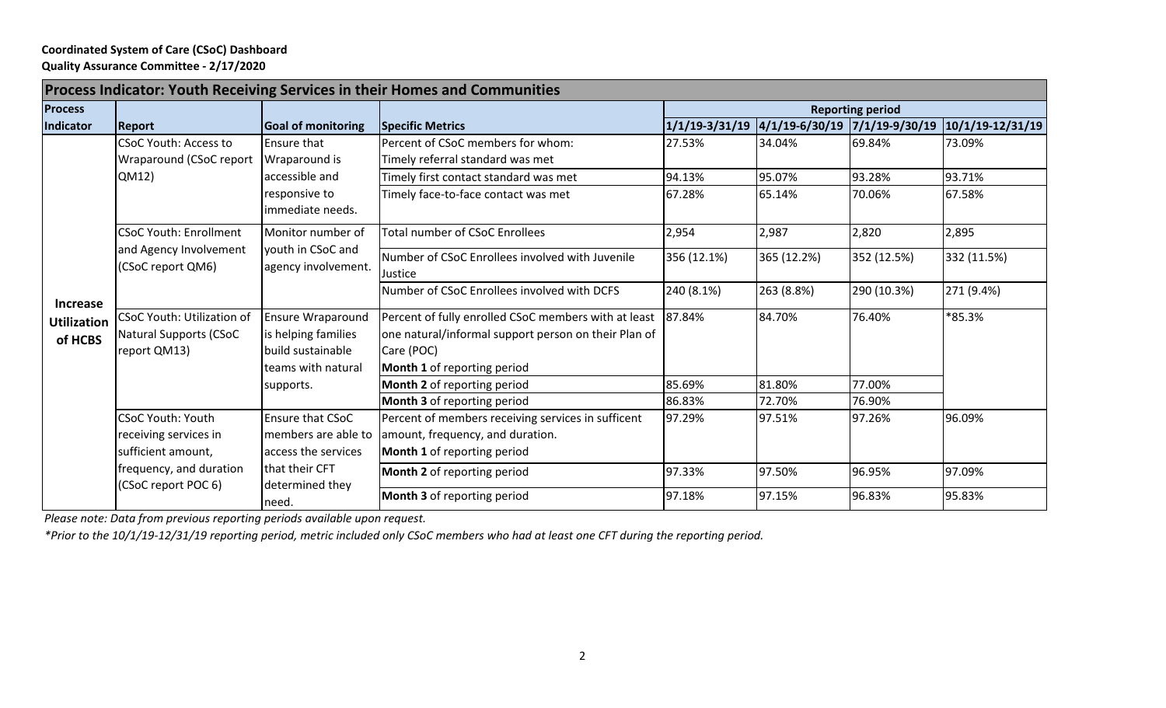## **Coordinated System of Care (CSoC) Dashboard Quality Assurance Committee ‐ 2/17/2020**

| <b>Process Indicator: Youth Receiving Services in their Homes and Communities</b> |                                                                             |                                                                                                         |                                                                                                                                                           |                         |                               |                  |                  |  |  |
|-----------------------------------------------------------------------------------|-----------------------------------------------------------------------------|---------------------------------------------------------------------------------------------------------|-----------------------------------------------------------------------------------------------------------------------------------------------------------|-------------------------|-------------------------------|------------------|------------------|--|--|
| <b>Process</b>                                                                    |                                                                             |                                                                                                         |                                                                                                                                                           | <b>Reporting period</b> |                               |                  |                  |  |  |
| Indicator                                                                         | Report                                                                      | <b>Goal of monitoring</b>                                                                               | <b>Specific Metrics</b>                                                                                                                                   | $1/1/19 - 3/31/19$      | 4/1/19-6/30/19 7/1/19-9/30/19 |                  | 10/1/19-12/31/19 |  |  |
| <b>Increase</b><br><b>Utilization</b><br>of HCBS                                  | <b>CSoC Youth: Access to</b><br>Wraparound (CSoC report<br>QM12)            | Ensure that<br>Wraparound is<br>accessible and                                                          | Percent of CSoC members for whom:<br>Timely referral standard was met<br>Timely first contact standard was met                                            | 27.53%<br>94.13%        | 34.04%<br>95.07%              | 69.84%<br>93.28% | 73.09%<br>93.71% |  |  |
|                                                                                   |                                                                             | responsive to<br>immediate needs.                                                                       | Timely face-to-face contact was met                                                                                                                       | 67.28%                  | 65.14%                        | 70.06%           | 67.58%           |  |  |
|                                                                                   | <b>CSoC Youth: Enrollment</b>                                               | Monitor number of                                                                                       | <b>Total number of CSoC Enrollees</b>                                                                                                                     | 2,954                   | 2,987                         | 2,820            | 2,895            |  |  |
|                                                                                   | and Agency Involvement<br>(CSoC report QM6)                                 | youth in CSoC and<br>agency involvement.                                                                | Number of CSoC Enrollees involved with Juvenile<br>Justice                                                                                                | 356 (12.1%)             | 365 (12.2%)                   | 352 (12.5%)      | 332 (11.5%)      |  |  |
|                                                                                   |                                                                             |                                                                                                         | Number of CSoC Enrollees involved with DCFS                                                                                                               | 240 (8.1%)              | 263 (8.8%)                    | 290 (10.3%)      | 271 (9.4%)       |  |  |
|                                                                                   | CSoC Youth: Utilization of<br><b>Natural Supports (CSoC</b><br>report QM13) | <b>Ensure Wraparound</b><br>is helping families<br>build sustainable<br>teams with natural<br>supports. | Percent of fully enrolled CSoC members with at least<br>one natural/informal support person on their Plan of<br>Care (POC)<br>Month 1 of reporting period | 87.84%                  | 84.70%                        | 76.40%           | *85.3%           |  |  |
|                                                                                   |                                                                             |                                                                                                         | <b>Month 2</b> of reporting period<br>Month 3 of reporting period                                                                                         | 85.69%<br>86.83%        | 81.80%<br>72.70%              | 77.00%<br>76.90% |                  |  |  |
|                                                                                   | <b>CSoC Youth: Youth</b><br>receiving services in<br>sufficient amount,     | Ensure that CSoC<br>members are able to<br>access the services                                          | Percent of members receiving services in sufficent<br>amount, frequency, and duration.<br>Month 1 of reporting period                                     | 97.29%                  | 97.51%                        | 97.26%           | 96.09%           |  |  |
|                                                                                   | frequency, and duration<br>(CSoC report POC 6)                              | that their CFT<br>determined they                                                                       | <b>Month 2</b> of reporting period                                                                                                                        | 97.33%                  | 97.50%                        | 96.95%           | 97.09%           |  |  |
|                                                                                   |                                                                             | need.                                                                                                   | Month 3 of reporting period                                                                                                                               | 97.18%                  | 97.15%                        | 96.83%           | 95.83%           |  |  |

*Please note: Data from previous reporting periods available upon request.*

*\*Prior to the 10/1/19‐12/31/19 reporting period, metric included only CSoC members who had at least one CFT during the reporting period.*